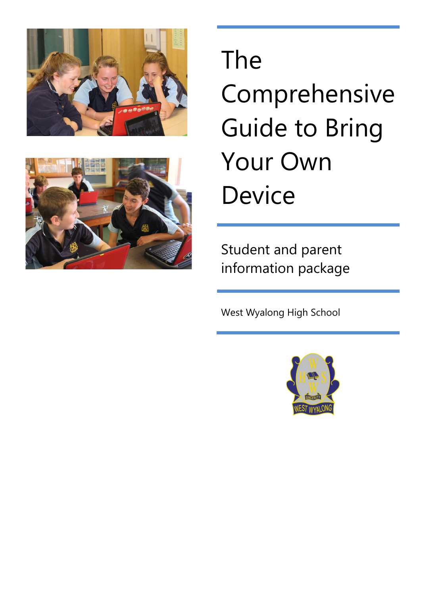



# The Comprehensive Guide to Bring Your Own Device

Student and parent information package

West Wyalong High School

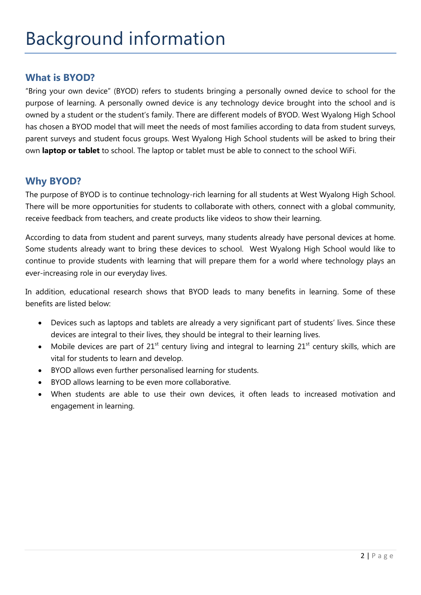# **What is BYOD?**

"Bring your own device" (BYOD) refers to students bringing a personally owned device to school for the purpose of learning. A personally owned device is any technology device brought into the school and is owned by a student or the student's family. There are different models of BYOD. West Wyalong High School has chosen a BYOD model that will meet the needs of most families according to data from student surveys, parent surveys and student focus groups. West Wyalong High School students will be asked to bring their own **laptop or tablet** to school. The laptop or tablet must be able to connect to the school WiFi.

### **Why BYOD?**

The purpose of BYOD is to continue technology-rich learning for all students at West Wyalong High School. There will be more opportunities for students to collaborate with others, connect with a global community, receive feedback from teachers, and create products like videos to show their learning.

According to data from student and parent surveys, many students already have personal devices at home. Some students already want to bring these devices to school. West Wyalong High School would like to continue to provide students with learning that will prepare them for a world where technology plays an ever-increasing role in our everyday lives.

In addition, educational research shows that BYOD leads to many benefits in learning. Some of these benefits are listed below:

- Devices such as laptops and tablets are already a very significant part of students' lives. Since these devices are integral to their lives, they should be integral to their learning lives.
- Mobile devices are part of  $21^{st}$  century living and integral to learning  $21^{st}$  century skills, which are vital for students to learn and develop.
- BYOD allows even further personalised learning for students.
- BYOD allows learning to be even more collaborative.
- When students are able to use their own devices, it often leads to increased motivation and engagement in learning.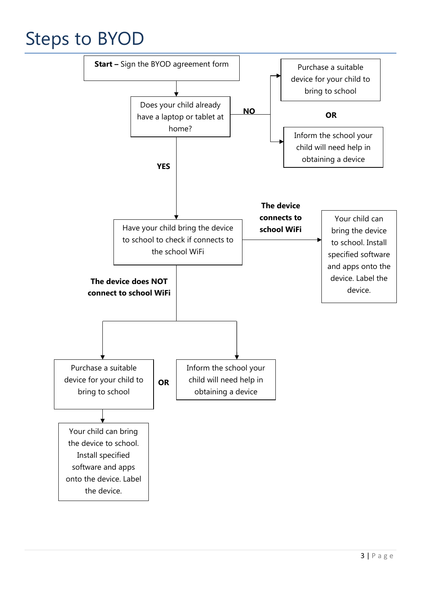# Steps to BYOD

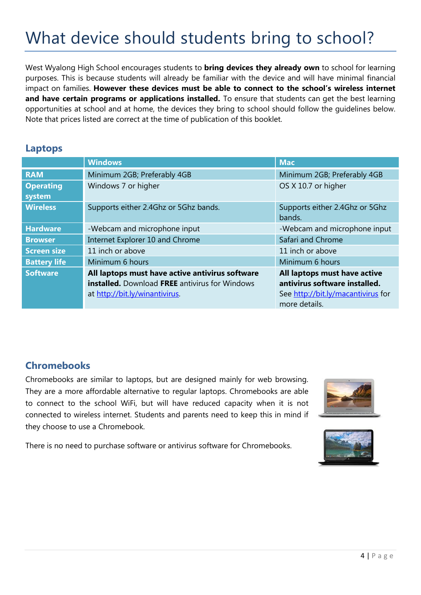# What device should students bring to school?

West Wyalong High School encourages students to **bring devices they already own** to school for learning purposes. This is because students will already be familiar with the device and will have minimal financial impact on families. **However these devices must be able to connect to the school's wireless internet and have certain programs or applications installed.** To ensure that students can get the best learning opportunities at school and at home, the devices they bring to school should follow the guidelines below. Note that prices listed are correct at the time of publication of this booklet.

## **Laptops**

|                     | <b>Windows</b>                                        | <b>Mac</b>                               |
|---------------------|-------------------------------------------------------|------------------------------------------|
| <b>RAM</b>          | Minimum 2GB; Preferably 4GB                           | Minimum 2GB; Preferably 4GB              |
| <b>Operating</b>    | Windows 7 or higher                                   | OS X 10.7 or higher                      |
| system              |                                                       |                                          |
| <b>Wireless</b>     | Supports either 2.4Ghz or 5Ghz bands.                 | Supports either 2.4Ghz or 5Ghz<br>bands. |
| <b>Hardware</b>     | -Webcam and microphone input                          | -Webcam and microphone input             |
| <b>Browser</b>      | Internet Explorer 10 and Chrome                       | Safari and Chrome                        |
| <b>Screen size</b>  | 11 inch or above                                      | 11 inch or above                         |
| <b>Battery life</b> | Minimum 6 hours                                       | Minimum 6 hours                          |
| <b>Software</b>     | All laptops must have active antivirus software       | All laptops must have active             |
|                     | <b>installed.</b> Download FREE antivirus for Windows | antivirus software installed.            |
|                     | at http://bit.ly/winantivirus.                        | See http://bit.ly/macantivirus for       |
|                     |                                                       | more details.                            |

# **Chromebooks**

Chromebooks are similar to laptops, but are designed mainly for web browsing. They are a more affordable alternative to regular laptops. Chromebooks are able to connect to the school WiFi, but will have reduced capacity when it is not connected to wireless internet. Students and parents need to keep this in mind if they choose to use a Chromebook.



There is no need to purchase software or antivirus software for Chromebooks.

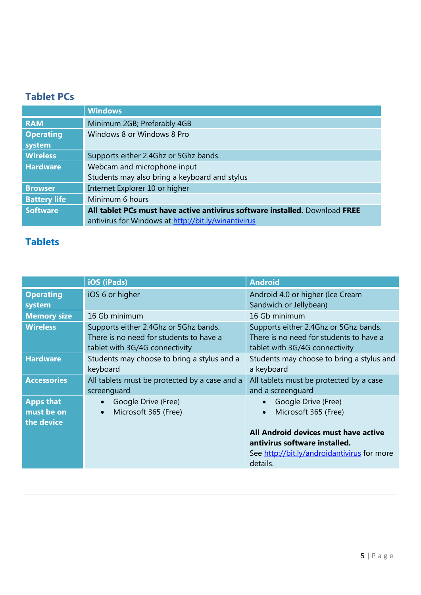### **Tablet PCs**

|                     | <b>Windows</b>                                                              |  |
|---------------------|-----------------------------------------------------------------------------|--|
| <b>RAM</b>          | Minimum 2GB; Preferably 4GB                                                 |  |
| <b>Operating</b>    | Windows 8 or Windows 8 Pro                                                  |  |
| system              |                                                                             |  |
| <b>Wireless</b>     | Supports either 2.4Ghz or 5Ghz bands.                                       |  |
| <b>Hardware</b>     | Webcam and microphone input                                                 |  |
|                     | Students may also bring a keyboard and stylus                               |  |
| <b>Browser</b>      | Internet Explorer 10 or higher                                              |  |
| <b>Battery life</b> | Minimum 6 hours                                                             |  |
| <b>Software</b>     | All tablet PCs must have active antivirus software installed. Download FREE |  |
|                     | antivirus for Windows at http://bit.ly/winantivirus                         |  |

# **Tablets**

|                                              | iOS (iPads)                                                                                                        | <b>Android</b>                                                                                                                                                                  |
|----------------------------------------------|--------------------------------------------------------------------------------------------------------------------|---------------------------------------------------------------------------------------------------------------------------------------------------------------------------------|
| <b>Operating</b><br>system                   | iOS 6 or higher                                                                                                    | Android 4.0 or higher (Ice Cream<br>Sandwich or Jellybean)                                                                                                                      |
| <b>Memory size</b>                           | 16 Gb minimum                                                                                                      | 16 Gb minimum                                                                                                                                                                   |
| <b>Wireless</b>                              | Supports either 2.4Ghz or 5Ghz bands.<br>There is no need for students to have a<br>tablet with 3G/4G connectivity | Supports either 2.4Ghz or 5Ghz bands.<br>There is no need for students to have a<br>tablet with 3G/4G connectivity                                                              |
| <b>Hardware</b>                              | Students may choose to bring a stylus and a<br>keyboard                                                            | Students may choose to bring a stylus and<br>a keyboard                                                                                                                         |
| <b>Accessories</b>                           | All tablets must be protected by a case and a<br>screenguard                                                       | All tablets must be protected by a case<br>and a screenguard                                                                                                                    |
| <b>Apps that</b><br>must be on<br>the device | Google Drive (Free)<br>Microsoft 365 (Free)<br>$\bullet$                                                           | Google Drive (Free)<br>Microsoft 365 (Free)<br>All Android devices must have active<br>antivirus software installed.<br>See http://bit.ly/androidantivirus for more<br>details. |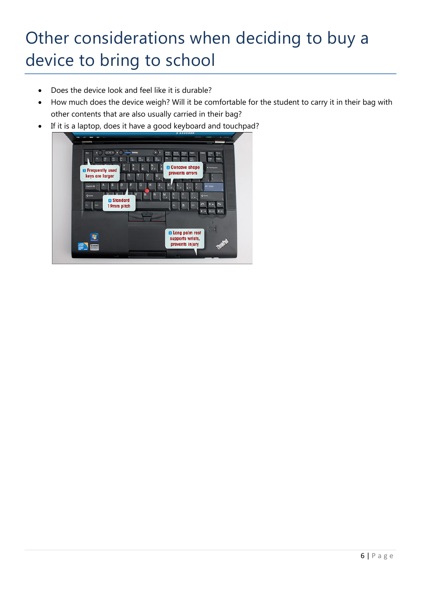# Other considerations when deciding to buy a device to bring to school

- Does the device look and feel like it is durable?
- How much does the device weigh? Will it be comfortable for the student to carry it in their bag with other contents that are also usually carried in their bag?
- If it is a laptop, does it have a good keyboard and touchpad?

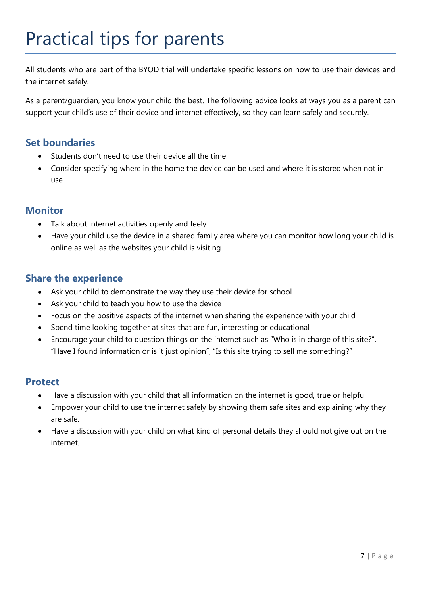# Practical tips for parents

All students who are part of the BYOD trial will undertake specific lessons on how to use their devices and the internet safely.

As a parent/guardian, you know your child the best. The following advice looks at ways you as a parent can support your child's use of their device and internet effectively, so they can learn safely and securely.

### **Set boundaries**

- Students don't need to use their device all the time
- Consider specifying where in the home the device can be used and where it is stored when not in use

#### **Monitor**

- Talk about internet activities openly and feely
- Have your child use the device in a shared family area where you can monitor how long your child is online as well as the websites your child is visiting

### **Share the experience**

- Ask your child to demonstrate the way they use their device for school
- Ask your child to teach you how to use the device
- Focus on the positive aspects of the internet when sharing the experience with your child
- Spend time looking together at sites that are fun, interesting or educational
- Encourage your child to question things on the internet such as "Who is in charge of this site?", "Have I found information or is it just opinion", "Is this site trying to sell me something?"

### **Protect**

- Have a discussion with your child that all information on the internet is good, true or helpful
- Empower your child to use the internet safely by showing them safe sites and explaining why they are safe.
- Have a discussion with your child on what kind of personal details they should not give out on the internet.